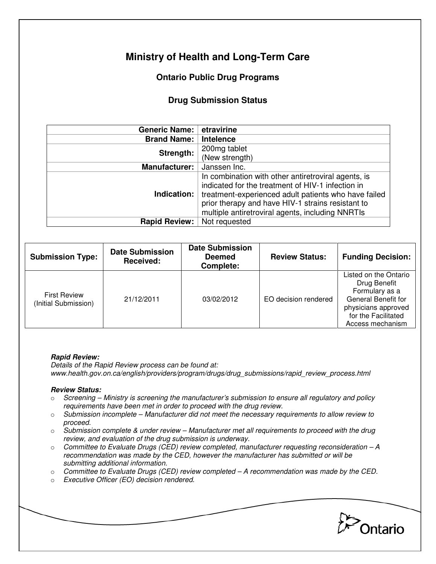# **Ministry of Health and Long-Term Care**

## **Ontario Public Drug Programs**

### **Drug Submission Status**

| <b>Generic Name:</b> | etravirine                                                                                                                                                                                                                                                                |
|----------------------|---------------------------------------------------------------------------------------------------------------------------------------------------------------------------------------------------------------------------------------------------------------------------|
| <b>Brand Name:</b>   | Intelence                                                                                                                                                                                                                                                                 |
| Strength:            | 200mg tablet                                                                                                                                                                                                                                                              |
|                      | (New strength)                                                                                                                                                                                                                                                            |
| <b>Manufacturer:</b> | Janssen Inc.                                                                                                                                                                                                                                                              |
| Indication:          | In combination with other antiretroviral agents, is<br>indicated for the treatment of HIV-1 infection in<br>treatment-experienced adult patients who have failed<br>prior therapy and have HIV-1 strains resistant to<br>multiple antiretroviral agents, including NNRTIs |
| <b>Rapid Review:</b> | Not requested                                                                                                                                                                                                                                                             |

| <b>Submission Type:</b>                     | <b>Date Submission</b><br>Received: | <b>Date Submission</b><br><b>Deemed</b><br>Complete: | <b>Review Status:</b> | <b>Funding Decision:</b>                                                                                                                         |
|---------------------------------------------|-------------------------------------|------------------------------------------------------|-----------------------|--------------------------------------------------------------------------------------------------------------------------------------------------|
| <b>First Review</b><br>(Initial Submission) | 21/12/2011                          | 03/02/2012                                           | EO decision rendered  | Listed on the Ontario<br>Drug Benefit<br>Formulary as a<br>General Benefit for<br>physicians approved<br>for the Facilitated<br>Access mechanism |

### **Rapid Review:**

Details of the Rapid Review process can be found at: www.health.gov.on.ca/english/providers/program/drugs/drug\_submissions/rapid\_review\_process.html

### **Review Status:**

- $\circ$  Screening Ministry is screening the manufacturer's submission to ensure all regulatory and policy requirements have been met in order to proceed with the drug review.
- $\circ$  Submission incomplete Manufacturer did not meet the necessary requirements to allow review to proceed.
- $\circ$  Submission complete & under review Manufacturer met all requirements to proceed with the drug review, and evaluation of the drug submission is underway.
- $\circ$  Committee to Evaluate Drugs (CED) review completed, manufacturer requesting reconsideration A recommendation was made by the CED, however the manufacturer has submitted or will be submitting additional information.
- $\circ$  Committee to Evaluate Drugs (CED) review completed  $-A$  recommendation was made by the CED.
- o Executive Officer (EO) decision rendered.